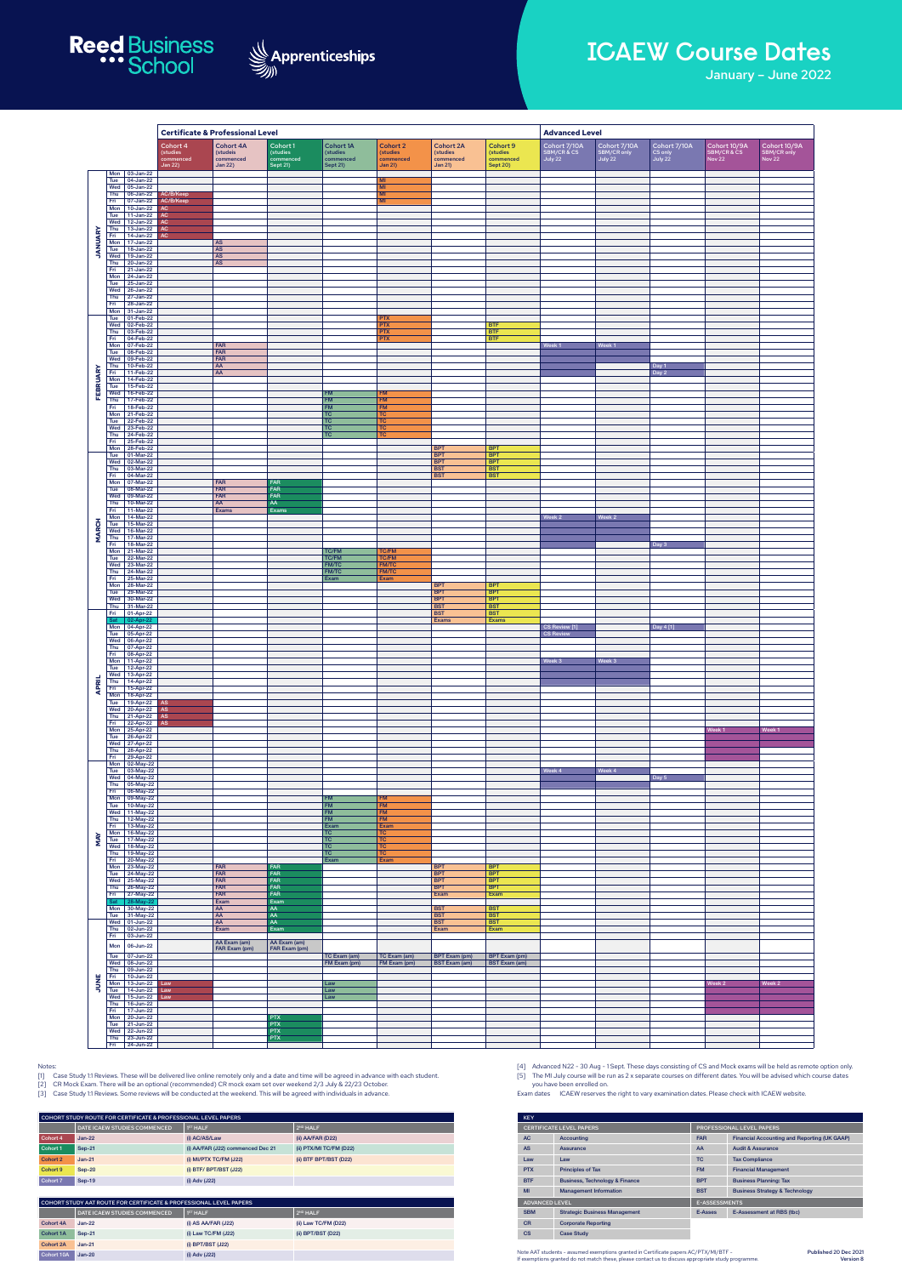|                       |                     |                                                  | <b>Certificate &amp; Professional Level</b>         |                                                             |                                               |                                                       |                                                            |                                                             | <b>Advanced Level</b>                                |                                        |                                        |                                    |                                       |                                              |
|-----------------------|---------------------|--------------------------------------------------|-----------------------------------------------------|-------------------------------------------------------------|-----------------------------------------------|-------------------------------------------------------|------------------------------------------------------------|-------------------------------------------------------------|------------------------------------------------------|----------------------------------------|----------------------------------------|------------------------------------|---------------------------------------|----------------------------------------------|
|                       |                     |                                                  | Cohort 4<br>(studies<br>commenced<br><b>Jan 22)</b> | <b>Cohort 4A</b><br>(studeis<br>commenced<br><b>Jan 22)</b> | Cohort 1<br>(studies<br>commenced<br>Sept 21) | <b>Cohort 1A</b><br>(studies<br>commenced<br>Sept 21) | <b>Cohort 2</b><br>(studies<br>commenced<br><b>Jan 21)</b> | <b>Cohort 2A</b><br>(studies<br>commenced<br><b>Jan 21)</b> | Cohort 9<br>(studies<br>commenced<br><b>Sept 20)</b> | Cohort 7/10A<br>SBM/CR & CS<br>July 22 | Cohort 7/10A<br>SBM/CR only<br>July 22 | Cohort 7/10A<br>CS only<br>July 22 | Cohort 10/9A<br>SBM/CR & CS<br>Nov 22 | Cohort 10/9A<br>SBM/CR only<br><b>Nov 22</b> |
|                       | Tue                 | Mon $ 03$ -Jan-22<br>$04$ -Jan-22                |                                                     |                                                             |                                               |                                                       | M <sub>l</sub>                                             |                                                             |                                                      |                                        |                                        |                                    |                                       |                                              |
| <b><i>JANUARY</i></b> | Thu<br>Fri          | Wed $\vert$ 05-Jan-22<br>06-Jan-22<br>07-Jan-22  | AC/B/Keep<br>AC/B/Keep                              |                                                             |                                               |                                                       | MI<br>MI<br>MI                                             |                                                             |                                                      |                                        |                                        |                                    |                                       |                                              |
|                       | Mon<br>Tue          | $10 - Jan-22$<br>$11$ -Jan-22                    | AC.<br>AC                                           |                                                             |                                               |                                                       |                                                            |                                                             |                                                      |                                        |                                        |                                    |                                       |                                              |
|                       | Wed<br>Thu          | 12-Jan-22<br>13-Jan-22                           | $\mathsf{AC}$<br>$\mathsf{AC}$                      |                                                             |                                               |                                                       |                                                            |                                                             |                                                      |                                        |                                        |                                    |                                       |                                              |
|                       | Fri<br>Mon          | $14$ -Jan-22<br>$17 - Jan-22$                    | AC                                                  | <b>AS</b>                                                   |                                               |                                                       |                                                            |                                                             |                                                      |                                        |                                        |                                    |                                       |                                              |
|                       | Tue<br>Wed<br>Thu   | $18 - Jan-22$<br>19-Jan-22<br>$20 - Jan-22$      |                                                     | AS<br>AS<br>$\overline{\mathsf{AS}}$                        |                                               |                                                       |                                                            |                                                             |                                                      |                                        |                                        |                                    |                                       |                                              |
|                       | Fri<br>Mon          | 21-Jan-22<br>24-Jan-22                           |                                                     |                                                             |                                               |                                                       |                                                            |                                                             |                                                      |                                        |                                        |                                    |                                       |                                              |
|                       | Tue<br>Wed          | 25-Jan-22<br>26-Jan-22                           |                                                     |                                                             |                                               |                                                       |                                                            |                                                             |                                                      |                                        |                                        |                                    |                                       |                                              |
|                       | Thu<br>Fri<br>Mon   | 27-Jan-22<br>28-Jan-22<br>31-Jan-22              |                                                     |                                                             |                                               |                                                       |                                                            |                                                             |                                                      |                                        |                                        |                                    |                                       |                                              |
|                       | Tue<br>Wed          | 01-Feb-22<br>02-Feb-22                           |                                                     |                                                             |                                               |                                                       | <b>PTX</b><br><b>PTX</b>                                   |                                                             | <b>BTF</b>                                           |                                        |                                        |                                    |                                       |                                              |
|                       | Thu<br>Fri          | 03-Feb-22<br>04-Feb-22                           |                                                     |                                                             |                                               |                                                       | <b>PTX</b><br><b>PTX</b>                                   |                                                             | <b>BTF</b><br><b>BTF</b>                             |                                        |                                        |                                    |                                       |                                              |
|                       | Mon<br>Tue<br>Wed   | 07-Feb-22<br>08-Feb-22<br>09-Feb-22              |                                                     | <b>FAR</b><br>FAR<br>FAR                                    |                                               |                                                       |                                                            |                                                             |                                                      | Week 1                                 | Week 1                                 |                                    |                                       |                                              |
|                       | Thu<br>Fri          | 10-Feb-22<br>11-Feb-22                           |                                                     | AA<br>AA                                                    |                                               |                                                       |                                                            |                                                             |                                                      |                                        |                                        | Day 1<br>Day 2                     |                                       |                                              |
| FEBRUARY              | Mon<br>Tue          | 14-Feb-22<br>15-Feb-22                           |                                                     |                                                             |                                               |                                                       |                                                            |                                                             |                                                      |                                        |                                        |                                    |                                       |                                              |
|                       | Wed<br>Thu<br>Fri   | 16-Feb-22<br>17-Feb-22<br>18-Feb-22              |                                                     |                                                             |                                               | <b>FM</b><br><b>FM</b><br><b>FM</b>                   | <b>FM</b><br><b>FM</b><br><b>FM</b>                        |                                                             |                                                      |                                        |                                        |                                    |                                       |                                              |
|                       | Mon<br>Tue          | 21-Feb-22<br>22-Feb-22                           |                                                     |                                                             |                                               | TC<br>TC                                              | TC<br>TC                                                   |                                                             |                                                      |                                        |                                        |                                    |                                       |                                              |
|                       | Wed<br>Thu          | 23-Feb-22<br>24-Feb-22                           |                                                     |                                                             |                                               | TC<br>TC                                              | <b>TC</b><br>TC                                            |                                                             |                                                      |                                        |                                        |                                    |                                       |                                              |
|                       | Fri<br>Mon<br>Tue   | 25-Feb-22<br>28-Feb-22<br>01-Mar-22              |                                                     |                                                             |                                               |                                                       |                                                            | <b>BPT</b><br><b>BPT</b>                                    | <b>BPT</b><br><b>BPT</b>                             |                                        |                                        |                                    |                                       |                                              |
|                       | Wed<br>Thu          | 02-Mar-22<br>03-Mar-22                           |                                                     |                                                             |                                               |                                                       |                                                            | <b>BPT</b><br><b>BST</b>                                    | <b>BPT</b><br><b>BST</b>                             |                                        |                                        |                                    |                                       |                                              |
|                       | Fri<br>Mon          | 04-Mar-22<br>07-Mar-22                           |                                                     | FAR                                                         | <b>FAR</b>                                    |                                                       |                                                            | <b>BST</b>                                                  | <b>BST</b>                                           |                                        |                                        |                                    |                                       |                                              |
|                       | Tue<br>Wed<br>Thu   | 08-Mar-22<br>09-Mar-22<br>10-Mar-22              |                                                     | FAR<br><b>FAR</b><br>AA                                     | FAR<br>FAR<br>AA                              |                                                       |                                                            |                                                             |                                                      |                                        |                                        |                                    |                                       |                                              |
|                       | Fri<br>Mon          | 11-Mar-22<br>14-Mar-22                           |                                                     | Exams                                                       | Exams                                         |                                                       |                                                            |                                                             |                                                      | Week 2                                 | Week 2                                 |                                    |                                       |                                              |
| <b>MARCH</b>          | Tue<br>Wed          | 15-Mar-22<br>16-Mar-22                           |                                                     |                                                             |                                               |                                                       |                                                            |                                                             |                                                      |                                        |                                        |                                    |                                       |                                              |
|                       | Thu<br>Fri<br>Mon   | 17-Mar-22<br>18-Mar-22<br>21-Mar-22              |                                                     |                                                             |                                               | <b>TC/FM</b>                                          | <b>TC/FM</b>                                               |                                                             |                                                      |                                        |                                        | Day 3                              |                                       |                                              |
|                       | Tue<br>Wed          | 22-Mar-22<br>23-Mar-22                           |                                                     |                                                             |                                               | <b>TC/FM</b><br><b>FM/TC</b>                          | <b>TC/FM</b><br><b>FM/TC</b>                               |                                                             |                                                      |                                        |                                        |                                    |                                       |                                              |
|                       | Thu<br>Fri          | 24-Mar-22<br>25-Mar-22                           |                                                     |                                                             |                                               | <b>FM/TC</b><br>Exam                                  | <b>FM/TC</b><br>Exam                                       |                                                             |                                                      |                                        |                                        |                                    |                                       |                                              |
|                       | Mon<br>Tue<br>Wed   | 28-Mar-22<br>29-Mar-22<br>30-Mar-22              |                                                     |                                                             |                                               |                                                       |                                                            | <b>BPT</b><br><b>BPT</b><br><b>BPT</b>                      | <b>BPT</b><br><b>BPT</b><br><b>BPT</b>               |                                        |                                        |                                    |                                       |                                              |
|                       | Fri                 | Thu 31-Mar-22<br>01-Apr-22                       |                                                     |                                                             |                                               |                                                       |                                                            | <b>BST</b><br><b>BST</b>                                    | <b>BST</b><br><b>BST</b>                             |                                        |                                        |                                    |                                       |                                              |
|                       | Sat                 | 02-Apr-22<br>Mon 04-Apr-22                       |                                                     |                                                             |                                               |                                                       |                                                            | <b>Exams</b>                                                | Exams                                                | CS Review [1]                          |                                        | Day 4 [1]                          |                                       |                                              |
|                       | Tue<br>Wed<br>Thu   | 05-Apr-22<br>06-Apr-22<br>07-Apr-22              |                                                     |                                                             |                                               |                                                       |                                                            |                                                             |                                                      | <b>CS Review</b>                       |                                        |                                    |                                       |                                              |
|                       | Fri                 | 08-Apr-22<br>Mon   11-Apr-22                     |                                                     |                                                             |                                               |                                                       |                                                            |                                                             |                                                      | Week 3                                 | Week 3                                 |                                    |                                       |                                              |
|                       | Tue<br>Wed  <br>Thu | 12-Apr-22<br>13-Apr-22<br>14-Apr-22              |                                                     |                                                             |                                               |                                                       |                                                            |                                                             |                                                      |                                        |                                        |                                    |                                       |                                              |
| APRIL                 | Fri<br>Mon          | 15-Apr-22<br>18-Apr-22                           |                                                     |                                                             |                                               |                                                       |                                                            |                                                             |                                                      |                                        |                                        |                                    |                                       |                                              |
|                       | Tue<br>Wed          | 19-Apr-22<br>20-Apr-22                           | $\mathsf{AS}$<br>AS                                 |                                                             |                                               |                                                       |                                                            |                                                             |                                                      |                                        |                                        |                                    |                                       |                                              |
|                       | Thu<br>Fri<br>Mon   | 21-Apr-22<br>22-Apr-22<br>25-Apr-22              | AS<br>AS                                            |                                                             |                                               |                                                       |                                                            |                                                             |                                                      |                                        |                                        |                                    | Week 1                                | Week 1                                       |
|                       | Tue<br>Wed          | 26-Apr-22<br>27-Apr-22                           |                                                     |                                                             |                                               |                                                       |                                                            |                                                             |                                                      |                                        |                                        |                                    |                                       |                                              |
|                       | Thu<br>Fri          | 28-Apr-22<br>29-Apr-22                           |                                                     |                                                             |                                               |                                                       |                                                            |                                                             |                                                      |                                        |                                        |                                    |                                       |                                              |
|                       | Mon<br>Tue          | 02-May-22<br>03-May-22<br>Wed $\sqrt{04-May-22}$ |                                                     |                                                             |                                               |                                                       |                                                            |                                                             |                                                      | Week 4                                 | Week 4                                 | Day 5                              |                                       |                                              |
|                       | Thu<br>Fri          | 05-May-22<br>06-May-22                           |                                                     |                                                             |                                               |                                                       |                                                            |                                                             |                                                      |                                        |                                        |                                    |                                       |                                              |
|                       | Tue                 | Mon 09-May-22<br>10-May-22                       |                                                     |                                                             |                                               | <b>FM</b><br><b>FM</b>                                | <b>FM</b><br><b>FM</b>                                     |                                                             |                                                      |                                        |                                        |                                    |                                       |                                              |
|                       | Thu<br>Fri          | Wed   11-May-22<br>12-May-22<br>13-May-22        |                                                     |                                                             |                                               | <b>FM</b><br><b>FM</b><br>Exam                        | <b>FM</b><br><b>FM</b><br>Exam                             |                                                             |                                                      |                                        |                                        |                                    |                                       |                                              |
| MAY                   | Mon<br>Tue          | 16-May-22<br>17-May-22                           |                                                     |                                                             |                                               | $TC$<br>TC                                            | <b>TC</b><br>TC                                            |                                                             |                                                      |                                        |                                        |                                    |                                       |                                              |
|                       | Thu<br>Fri          | Wed   18-May-22<br>19-May-22<br>20-May-22        |                                                     |                                                             |                                               | TC<br>TC<br>Exam                                      | TC<br><b>TC</b><br>Exam                                    |                                                             |                                                      |                                        |                                        |                                    |                                       |                                              |
|                       | Mon<br>Tue          | 23-May-22<br>24-May-22                           |                                                     | FAR<br>FAR                                                  | <b>FAR</b><br><b>FAR</b>                      |                                                       |                                                            | <b>BPT</b><br><b>BPT</b>                                    | <b>BPT</b><br><b>BPT</b>                             |                                        |                                        |                                    |                                       |                                              |
|                       |                     | Wed 25-May-22<br>Thu 26-May-22                   |                                                     | FAR<br>FAR                                                  | <b>FAR</b><br>FAR                             |                                                       |                                                            | <b>BPT</b><br><b>BPT</b>                                    | <b>BPT</b><br><b>BPT</b>                             |                                        |                                        |                                    |                                       |                                              |
|                       | Fri<br>Sat<br>Mon   | 27-May-22<br>28-May-22<br>30-May-22              |                                                     | FAR<br>Exam<br>AA                                           | FAR<br>Exam<br>AA                             |                                                       |                                                            | Exam<br><b>BST</b>                                          | Exam<br><b>BST</b>                                   |                                        |                                        |                                    |                                       |                                              |
|                       | Tue                 | 31-May-22<br>Wed 01-Jun-22                       |                                                     | $AA$<br>AA                                                  | AA<br>AA                                      |                                                       |                                                            | <b>BST</b><br><b>BST</b>                                    | <b>BST</b><br><b>BST</b>                             |                                        |                                        |                                    |                                       |                                              |
|                       | Thu<br>Fri          | 02-Jun-22<br>03-Jun-22                           |                                                     | Exam                                                        | Exam                                          |                                                       |                                                            | Exam                                                        | Exam                                                 |                                        |                                        |                                    |                                       |                                              |
|                       | Mon<br>Tue          | 06-Jun-22<br>07-Jun-22                           |                                                     | AA Exam (am)<br>FAR Exam (pm)                               | AA Exam (am)<br>FAR Exam (pm)                 | TC Exam (am)                                          | TC Exam (am)                                               | <b>BPT</b> Exam (pm)                                        | <b>BPT</b> Exam (pm)                                 |                                        |                                        |                                    |                                       |                                              |
|                       | <b>Wed</b><br>Thu   | 08-Jun-22<br>09-Jun-22                           |                                                     |                                                             |                                               | FM Exam (pm)                                          | FM Exam (pm)                                               | <b>BST Exam (am)</b>                                        | <b>BST Exam (am)</b>                                 |                                        |                                        |                                    |                                       |                                              |
| JUNE                  | Fri<br>Mon          | $10 - Jun-22$<br>13-Jun-22                       | Law                                                 |                                                             |                                               | Law                                                   |                                                            |                                                             |                                                      |                                        |                                        |                                    | Week 2                                | Week <sub>2</sub>                            |
|                       | Tue<br>Wed<br>Thu   | 14-Jun-22<br>15-Jun-22<br>$16$ -Jun-22           | Law<br>Law                                          |                                                             |                                               | Law<br>Law                                            |                                                            |                                                             |                                                      |                                        |                                        |                                    |                                       |                                              |
|                       | Fri<br>Mon          | $17 - Jun-22$<br>20-Jun-22                       |                                                     |                                                             | <b>PTX</b>                                    |                                                       |                                                            |                                                             |                                                      |                                        |                                        |                                    |                                       |                                              |
|                       | Tue<br>Wed          | 21-Jun-22<br>22-Jun-22                           |                                                     |                                                             | <b>PTX</b><br><b>PTX</b>                      |                                                       |                                                            |                                                             |                                                      |                                        |                                        |                                    |                                       |                                              |
|                       | Thu<br>Fri          | 23-Jun-22<br>24-Jun-22                           |                                                     |                                                             | <b>PTX</b>                                    |                                                       |                                                            |                                                             |                                                      |                                        |                                        |                                    |                                       |                                              |

- [4] Advanced N22 30 Aug 1 Sept. These days consisting of CS and Mock exams will be held as remote option only.
- [5] The MI July course will be run as 2 x separate courses on different dates. You will be advised which course dates you have been enrolled on.
- Exam dates ICAEW reserves the right to vary examination dates. Please check with ICAEW website.





## **ICAEW Course Dates**

January – June 2022

## Notes:

- [1] Case Study 1:1 Reviews. These will be delivered live online remotely only and a date and time will be agreed in advance with each student.
- [2] CR Mock Exam. There will be an optional (recommended) CR mock exam set over weekend 2/3 July & 22/23 October.
- [3] Case Study 1:1 Reviews. Some reviews will be conducted at the weekend. This will be agreed with individuals in advance.

| <b>KEY</b>            |                                           |                                  |                                              |  |  |  |  |  |
|-----------------------|-------------------------------------------|----------------------------------|----------------------------------------------|--|--|--|--|--|
|                       | <b>CERTIFICATE LEVEL PAPERS</b>           | <b>PROFESSIONAL LEVEL PAPERS</b> |                                              |  |  |  |  |  |
| <b>AC</b>             | Accounting                                | <b>FAR</b>                       | Financial Accounting and Reporting (UK GAAP) |  |  |  |  |  |
| <b>AS</b>             | Assurance                                 | AA                               | <b>Audit &amp; Assurance</b>                 |  |  |  |  |  |
| Law                   | Law                                       | TC.                              | <b>Tax Compliance</b>                        |  |  |  |  |  |
| <b>PTX</b>            | <b>Principles of Tax</b>                  | <b>FM</b>                        | <b>Financial Management</b>                  |  |  |  |  |  |
| <b>BTF</b>            | <b>Business, Technology &amp; Finance</b> | <b>BPT</b>                       | <b>Business Planning: Tax</b>                |  |  |  |  |  |
| MI                    | <b>Management Information</b>             | <b>BST</b>                       | <b>Business Strategy &amp; Technology</b>    |  |  |  |  |  |
| <b>ADVANCED LEVEL</b> |                                           | <b>E-ASSESSMENTS</b>             |                                              |  |  |  |  |  |
| <b>SBM</b>            | <b>Strategic Business Management</b>      | E-Asses                          | E-Assessment at RBS (tbc)                    |  |  |  |  |  |
| <b>CR</b>             | <b>Corporate Reporting</b>                |                                  |                                              |  |  |  |  |  |
| <b>CS</b>             | <b>Case Study</b>                         |                                  |                                              |  |  |  |  |  |

| COHORT STUDY ROUTE FOR CERTIFICATE & PROFESSIONAL LEVEL PAPERS |                                     |                                   |                         |  |  |  |  |  |  |
|----------------------------------------------------------------|-------------------------------------|-----------------------------------|-------------------------|--|--|--|--|--|--|
|                                                                | <b>DATE ICAEW STUDIES COMMENCED</b> | 1 <sup>ST</sup> HALF              | 2 <sup>ND</sup> HALF    |  |  |  |  |  |  |
| Cohort 4                                                       | $Jan-22$                            | (i) AC/AS/Law                     | $(ii)$ AA/FAR (D22)     |  |  |  |  |  |  |
| Cohort 1                                                       | Sep-21                              | (i) AA/FAR (J22) commenced Dec 21 | (ii) PTX/MI TC/FM (D22) |  |  |  |  |  |  |
| Cohort 2                                                       | $Jan-21$                            | (i) MI/PTX TC/FM $(J22)$          | (ii) BTF BPT/BST (D22)  |  |  |  |  |  |  |
| Cohort 9                                                       | $Sen-20$                            | $(i)$ BTF/BPT/BST $(J22)$         |                         |  |  |  |  |  |  |
| Cohort 7                                                       | Sep-19                              | (i) Adv (J22)                     |                         |  |  |  |  |  |  |

| COHORT STUDY AAT ROUTE FOR CERTIFICATE & PROFESSIONAL LEVEL PAPERS |                              |                         |                      |                                                                                                                                                                                             | ADVANCED LEVEL                                                     |                                      |         | E-ASSESSMENTS                      |  |  |
|--------------------------------------------------------------------|------------------------------|-------------------------|----------------------|---------------------------------------------------------------------------------------------------------------------------------------------------------------------------------------------|--------------------------------------------------------------------|--------------------------------------|---------|------------------------------------|--|--|
|                                                                    | DATE ICAEW STUDIES COMMENCED | I <sup>ST</sup> HALF    | 2 <sup>ND</sup> HALF |                                                                                                                                                                                             | <b>SBM</b>                                                         | <b>Strategic Business Management</b> | E-Asses | E-Assessment at RBS (tbc)          |  |  |
| Cohort 4A                                                          | $Jan-22$                     | $(i)$ AS AA/FAR $(J22)$ | (ii) Law TC/FM (D22) |                                                                                                                                                                                             | <b>CR</b><br><b>Corporate Reporting</b><br>CS<br><b>Case Study</b> |                                      |         |                                    |  |  |
| Cohort 1A Sep-21                                                   |                              | $(i)$ Law TC/FM $(J22)$ | (ii) BPT/BST (D22)   |                                                                                                                                                                                             |                                                                    |                                      |         |                                    |  |  |
| Cohort 2A Jan-21                                                   |                              | (i) BPT/BST (J22)       |                      |                                                                                                                                                                                             |                                                                    |                                      |         |                                    |  |  |
| Cohort 10A Jan-20                                                  |                              | (i) Adv (J22)           |                      | Note AAT students - assumed exemptions granted in Certificate papers AC/PTX/MI/BTF -<br>If exemptions granted do not match these, please contact us to discuss appropriate study programme. |                                                                    |                                      |         | Published 20 Dec 2021<br>Version 8 |  |  |